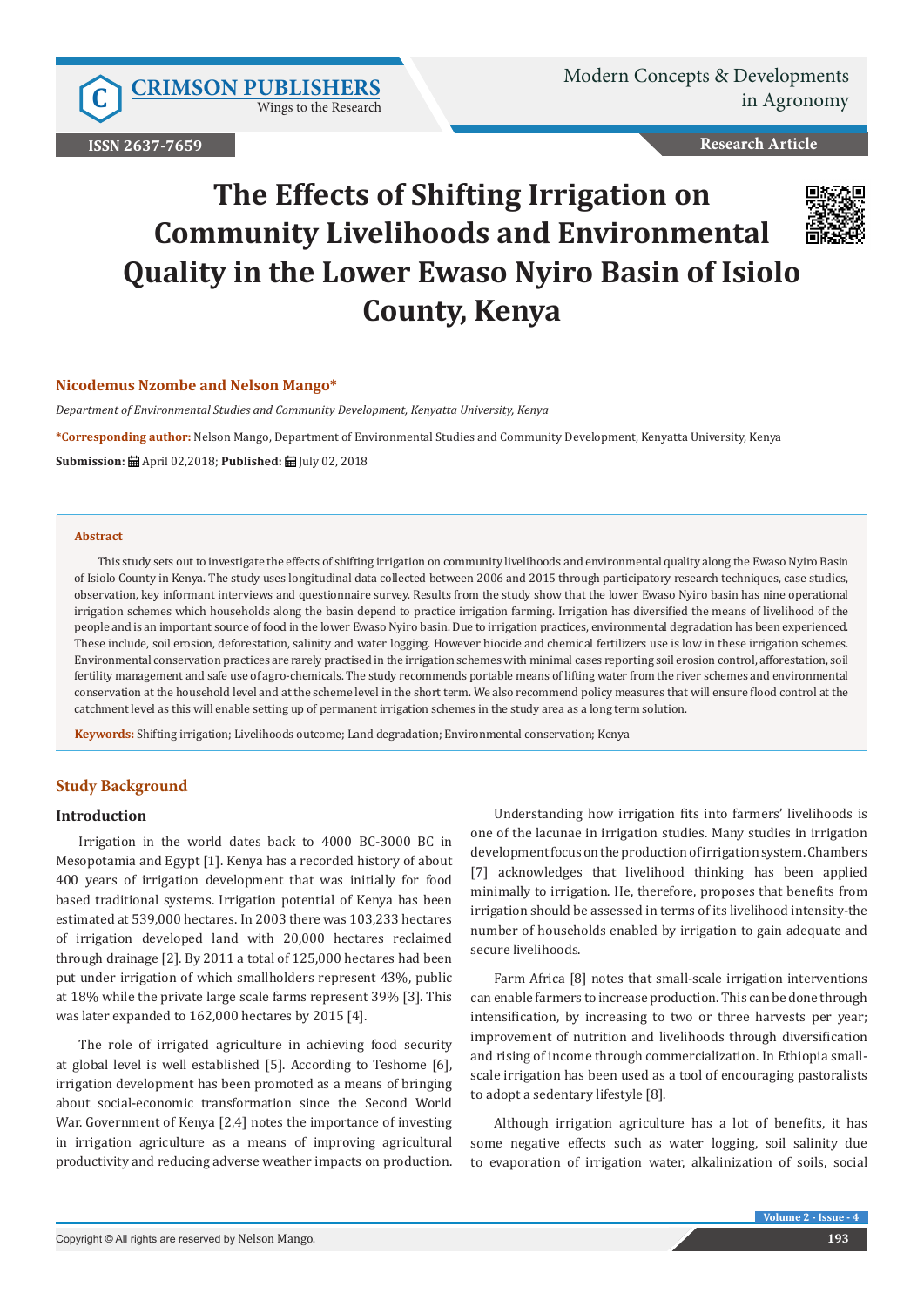Wings to the Research

**ISSN 2637-7659**

**Research Article**

# **The Effects of Shifting Irrigation on Community Livelihoods and Environmental Quality in the Lower Ewaso Nyiro Basin of Isiolo County, Kenya**



## **Nicodemus Nzombe and Nelson Mango\***

*Department of Environmental Studies and Community Development, Kenyatta University, Kenya*

**\*Corresponding author:** Nelson Mango, Department of Environmental Studies and Community Development, Kenyatta University, Kenya

**Submission:** April 02,2018; **Published:** July 02, 2018

### **Abstract**

This study sets out to investigate the effects of shifting irrigation on community livelihoods and environmental quality along the Ewaso Nyiro Basin of Isiolo County in Kenya. The study uses longitudinal data collected between 2006 and 2015 through participatory research techniques, case studies, observation, key informant interviews and questionnaire survey. Results from the study show that the lower Ewaso Nyiro basin has nine operational irrigation schemes which households along the basin depend to practice irrigation farming. Irrigation has diversified the means of livelihood of the people and is an important source of food in the lower Ewaso Nyiro basin. Due to irrigation practices, environmental degradation has been experienced. These include, soil erosion, deforestation, salinity and water logging. However biocide and chemical fertilizers use is low in these irrigation schemes. Environmental conservation practices are rarely practised in the irrigation schemes with minimal cases reporting soil erosion control, afforestation, soil fertility management and safe use of agro-chemicals. The study recommends portable means of lifting water from the river schemes and environmental conservation at the household level and at the scheme level in the short term. We also recommend policy measures that will ensure flood control at the catchment level as this will enable setting up of permanent irrigation schemes in the study area as a long term solution.

**Keywords:** Shifting irrigation; Livelihoods outcome; Land degradation; Environmental conservation; Kenya

# **Study Background**

### **Introduction**

Irrigation in the world dates back to 4000 BC-3000 BC in Mesopotamia and Egypt [1]. Kenya has a recorded history of about 400 years of irrigation development that was initially for food based traditional systems. Irrigation potential of Kenya has been estimated at 539,000 hectares. In 2003 there was 103,233 hectares of irrigation developed land with 20,000 hectares reclaimed through drainage [2]. By 2011 a total of 125,000 hectares had been put under irrigation of which smallholders represent 43%, public at 18% while the private large scale farms represent 39% [3]. This was later expanded to 162,000 hectares by 2015 [4].

The role of irrigated agriculture in achieving food security at global level is well established [5]. According to Teshome [6], irrigation development has been promoted as a means of bringing about social-economic transformation since the Second World War. Government of Kenya [2,4] notes the importance of investing in irrigation agriculture as a means of improving agricultural productivity and reducing adverse weather impacts on production.

Understanding how irrigation fits into farmers' livelihoods is one of the lacunae in irrigation studies. Many studies in irrigation development focus on the production of irrigation system. Chambers [7] acknowledges that livelihood thinking has been applied minimally to irrigation. He, therefore, proposes that benefits from irrigation should be assessed in terms of its livelihood intensity-the number of households enabled by irrigation to gain adequate and secure livelihoods.

Farm Africa [8] notes that small-scale irrigation interventions can enable farmers to increase production. This can be done through intensification, by increasing to two or three harvests per year; improvement of nutrition and livelihoods through diversification and rising of income through commercialization. In Ethiopia smallscale irrigation has been used as a tool of encouraging pastoralists to adopt a sedentary lifestyle [8].

Although irrigation agriculture has a lot of benefits, it has some negative effects such as water logging, soil salinity due to evaporation of irrigation water, alkalinization of soils, social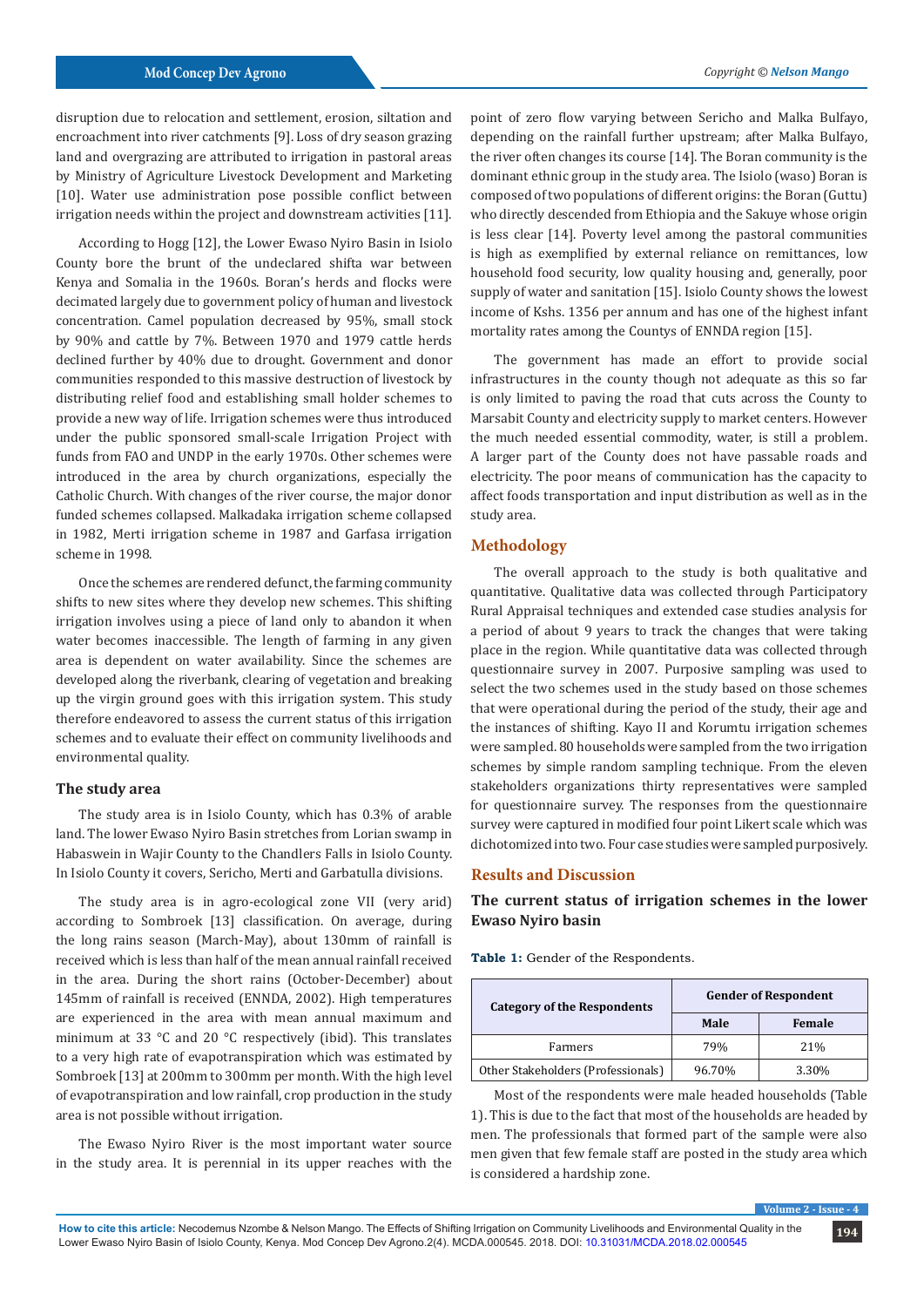disruption due to relocation and settlement, erosion, siltation and encroachment into river catchments [9]. Loss of dry season grazing land and overgrazing are attributed to irrigation in pastoral areas by Ministry of Agriculture Livestock Development and Marketing [10]. Water use administration pose possible conflict between irrigation needs within the project and downstream activities [11].

According to Hogg [12], the Lower Ewaso Nyiro Basin in Isiolo County bore the brunt of the undeclared shifta war between Kenya and Somalia in the 1960s. Boran's herds and flocks were decimated largely due to government policy of human and livestock concentration. Camel population decreased by 95%, small stock by 90% and cattle by 7%. Between 1970 and 1979 cattle herds declined further by 40% due to drought. Government and donor communities responded to this massive destruction of livestock by distributing relief food and establishing small holder schemes to provide a new way of life. Irrigation schemes were thus introduced under the public sponsored small-scale Irrigation Project with funds from FAO and UNDP in the early 1970s. Other schemes were introduced in the area by church organizations, especially the Catholic Church. With changes of the river course, the major donor funded schemes collapsed. Malkadaka irrigation scheme collapsed in 1982, Merti irrigation scheme in 1987 and Garfasa irrigation scheme in 1998.

Once the schemes are rendered defunct, the farming community shifts to new sites where they develop new schemes. This shifting irrigation involves using a piece of land only to abandon it when water becomes inaccessible. The length of farming in any given area is dependent on water availability. Since the schemes are developed along the riverbank, clearing of vegetation and breaking up the virgin ground goes with this irrigation system. This study therefore endeavored to assess the current status of this irrigation schemes and to evaluate their effect on community livelihoods and environmental quality.

# **The study area**

The study area is in Isiolo County, which has 0.3% of arable land. The lower Ewaso Nyiro Basin stretches from Lorian swamp in Habaswein in Wajir County to the Chandlers Falls in Isiolo County. In Isiolo County it covers, Sericho, Merti and Garbatulla divisions.

The study area is in agro-ecological zone VII (very arid) according to Sombroek [13] classification. On average, during the long rains season (March-May), about 130mm of rainfall is received which is less than half of the mean annual rainfall received in the area. During the short rains (October-December) about 145mm of rainfall is received (ENNDA, 2002). High temperatures are experienced in the area with mean annual maximum and minimum at 33 °C and 20 °C respectively (ibid). This translates to a very high rate of evapotranspiration which was estimated by Sombroek [13] at 200mm to 300mm per month. With the high level of evapotranspiration and low rainfall, crop production in the study area is not possible without irrigation.

The Ewaso Nyiro River is the most important water source in the study area. It is perennial in its upper reaches with the

point of zero flow varying between Sericho and Malka Bulfayo, depending on the rainfall further upstream; after Malka Bulfayo, the river often changes its course [14]. The Boran community is the dominant ethnic group in the study area. The Isiolo (waso) Boran is composed of two populations of different origins: the Boran (Guttu) who directly descended from Ethiopia and the Sakuye whose origin is less clear [14]. Poverty level among the pastoral communities is high as exemplified by external reliance on remittances, low household food security, low quality housing and, generally, poor supply of water and sanitation [15]. Isiolo County shows the lowest income of Kshs. 1356 per annum and has one of the highest infant mortality rates among the Countys of ENNDA region [15].

The government has made an effort to provide social infrastructures in the county though not adequate as this so far is only limited to paving the road that cuts across the County to Marsabit County and electricity supply to market centers. However the much needed essential commodity, water, is still a problem. A larger part of the County does not have passable roads and electricity. The poor means of communication has the capacity to affect foods transportation and input distribution as well as in the study area.

# **Methodology**

The overall approach to the study is both qualitative and quantitative. Qualitative data was collected through Participatory Rural Appraisal techniques and extended case studies analysis for a period of about 9 years to track the changes that were taking place in the region. While quantitative data was collected through questionnaire survey in 2007. Purposive sampling was used to select the two schemes used in the study based on those schemes that were operational during the period of the study, their age and the instances of shifting. Kayo II and Korumtu irrigation schemes were sampled. 80 households were sampled from the two irrigation schemes by simple random sampling technique. From the eleven stakeholders organizations thirty representatives were sampled for questionnaire survey. The responses from the questionnaire survey were captured in modified four point Likert scale which was dichotomized into two. Four case studies were sampled purposively.

# **Results and Discussion**

# **The current status of irrigation schemes in the lower Ewaso Nyiro basin**

**Table 1:** Gender of the Respondents.

| <b>Category of the Respondents</b> | <b>Gender of Respondent</b> |               |  |  |
|------------------------------------|-----------------------------|---------------|--|--|
|                                    | Male                        | <b>Female</b> |  |  |
| Farmers                            | 79%                         | 21%           |  |  |
| Other Stakeholders (Professionals) | 96.70%                      | 3.30%         |  |  |

Most of the respondents were male headed households (Table 1). This is due to the fact that most of the households are headed by men. The professionals that formed part of the sample were also men given that few female staff are posted in the study area which is considered a hardship zone.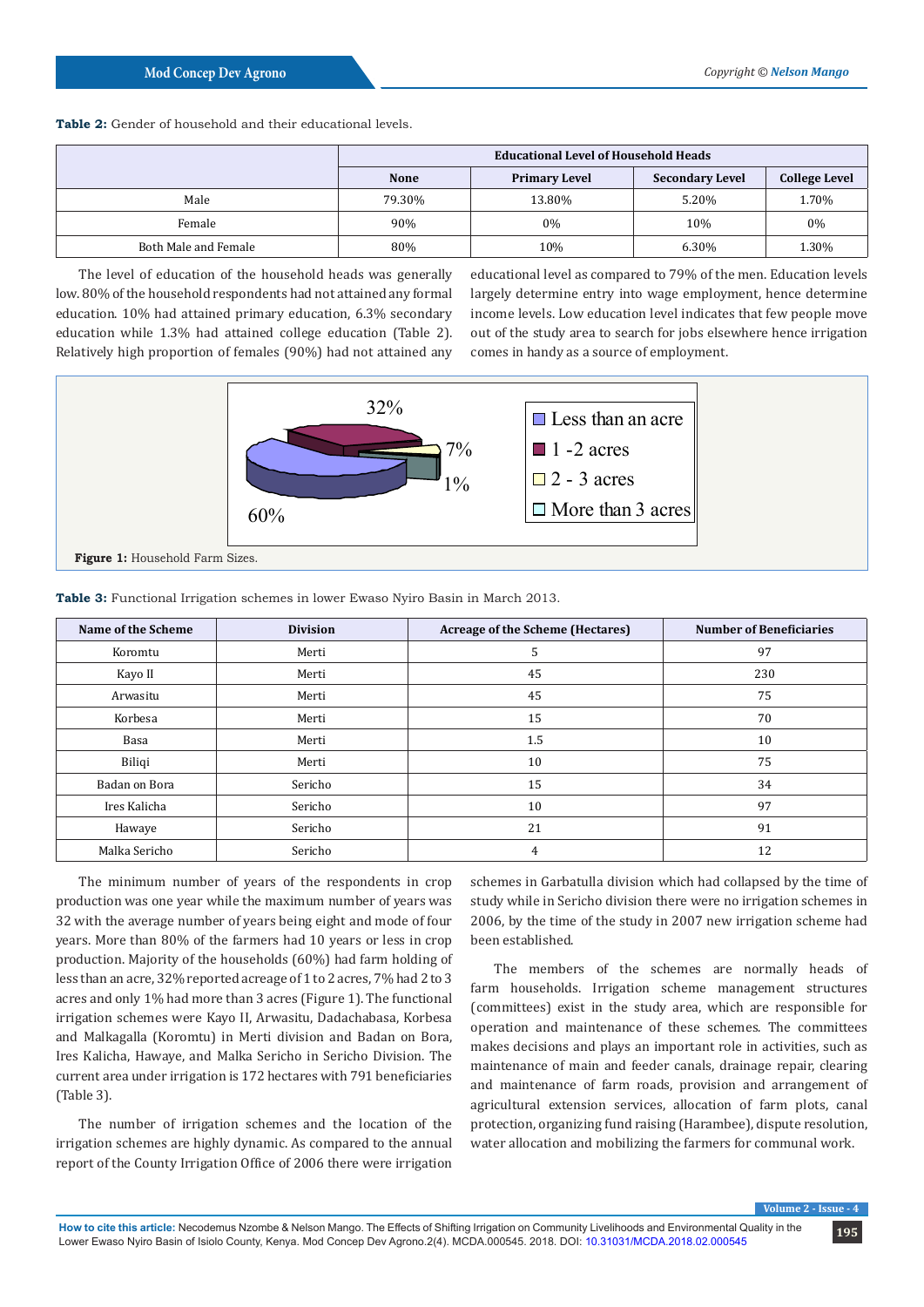## **Table 2:** Gender of household and their educational levels.

|                      | <b>Educational Level of Household Heads</b> |                      |                        |                      |  |  |
|----------------------|---------------------------------------------|----------------------|------------------------|----------------------|--|--|
|                      | <b>None</b>                                 | <b>Primary Level</b> | <b>Secondary Level</b> | <b>College Level</b> |  |  |
| Male                 | 79.30%                                      | 13.80%               | 5.20%                  | 1.70%                |  |  |
| Female               | 90%                                         | 0%                   | 10%                    | $0\%$                |  |  |
| Both Male and Female | 80%                                         | 10%                  | 6.30%                  | 1.30%                |  |  |

The level of education of the household heads was generally low. 80% of the household respondents had not attained any formal education. 10% had attained primary education, 6.3% secondary education while 1.3% had attained college education (Table 2). Relatively high proportion of females (90%) had not attained any

educational level as compared to 79% of the men. Education levels largely determine entry into wage employment, hence determine income levels. Low education level indicates that few people move out of the study area to search for jobs elsewhere hence irrigation comes in handy as a source of employment.



| <b>Table 3:</b> Functional Irrigation schemes in lower Ewaso Nyiro Basin in March 2013. |  |
|-----------------------------------------------------------------------------------------|--|
|-----------------------------------------------------------------------------------------|--|

| Name of the Scheme | <b>Division</b> | <b>Acreage of the Scheme (Hectares)</b> | <b>Number of Beneficiaries</b> |
|--------------------|-----------------|-----------------------------------------|--------------------------------|
| Koromtu            | Merti           | Ь                                       | 97                             |
| Kayo II            | Merti           | 45                                      | 230                            |
| Arwasitu           | Merti           | 45                                      | 75                             |
| Korbesa            | Merti           | 15                                      | 70                             |
| Basa               | Merti           | 1.5                                     | 10                             |
| Biliqi             | Merti           | 10                                      | 75                             |
| Badan on Bora      | Sericho         | 15                                      | 34                             |
| Ires Kalicha       | Sericho         | 10                                      | 97                             |
| Hawaye             | Sericho         | 21                                      | 91                             |
| Malka Sericho      | Sericho         | 4                                       | 12                             |

The minimum number of years of the respondents in crop production was one year while the maximum number of years was 32 with the average number of years being eight and mode of four years. More than 80% of the farmers had 10 years or less in crop production. Majority of the households (60%) had farm holding of less than an acre, 32% reported acreage of 1 to 2 acres, 7% had 2 to 3 acres and only 1% had more than 3 acres (Figure 1). The functional irrigation schemes were Kayo II, Arwasitu, Dadachabasa, Korbesa and Malkagalla (Koromtu) in Merti division and Badan on Bora, Ires Kalicha, Hawaye, and Malka Sericho in Sericho Division. The current area under irrigation is 172 hectares with 791 beneficiaries (Table 3).

The number of irrigation schemes and the location of the irrigation schemes are highly dynamic. As compared to the annual report of the County Irrigation Office of 2006 there were irrigation

schemes in Garbatulla division which had collapsed by the time of study while in Sericho division there were no irrigation schemes in 2006, by the time of the study in 2007 new irrigation scheme had been established.

The members of the schemes are normally heads of farm households. Irrigation scheme management structures (committees) exist in the study area, which are responsible for operation and maintenance of these schemes. The committees makes decisions and plays an important role in activities, such as maintenance of main and feeder canals, drainage repair, clearing and maintenance of farm roads, provision and arrangement of agricultural extension services, allocation of farm plots, canal protection, organizing fund raising (Harambee), dispute resolution, water allocation and mobilizing the farmers for communal work.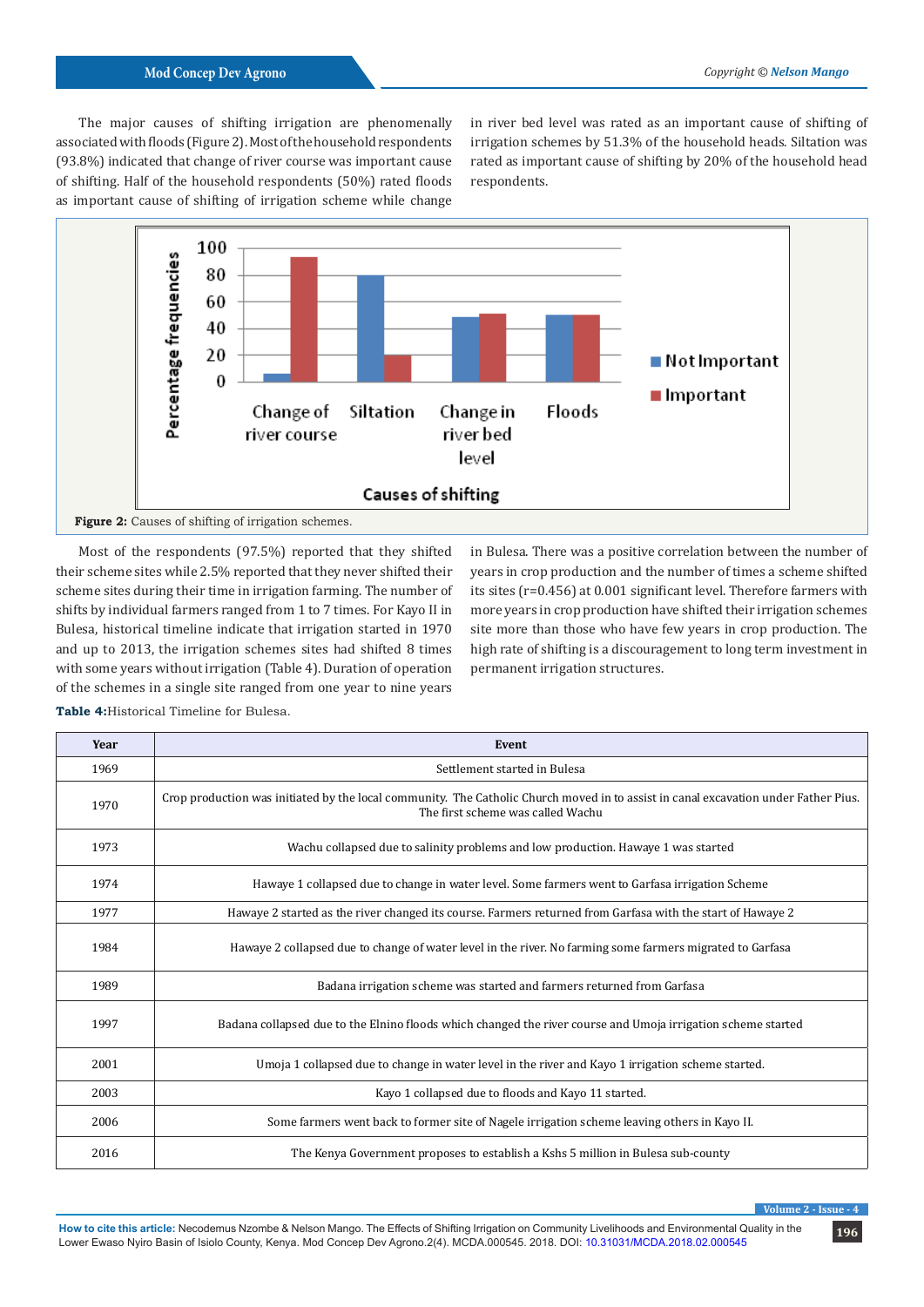The major causes of shifting irrigation are phenomenally associated with floods (Figure 2). Most of the household respondents (93.8%) indicated that change of river course was important cause of shifting. Half of the household respondents (50%) rated floods as important cause of shifting of irrigation scheme while change

in river bed level was rated as an important cause of shifting of irrigation schemes by 51.3% of the household heads. Siltation was rated as important cause of shifting by 20% of the household head respondents.



Most of the respondents (97.5%) reported that they shifted their scheme sites while 2.5% reported that they never shifted their scheme sites during their time in irrigation farming. The number of shifts by individual farmers ranged from 1 to 7 times. For Kayo II in Bulesa, historical timeline indicate that irrigation started in 1970 and up to 2013, the irrigation schemes sites had shifted 8 times with some years without irrigation (Table 4). Duration of operation of the schemes in a single site ranged from one year to nine years

in Bulesa. There was a positive correlation between the number of years in crop production and the number of times a scheme shifted its sites (r=0.456) at 0.001 significant level. Therefore farmers with more years in crop production have shifted their irrigation schemes site more than those who have few years in crop production. The high rate of shifting is a discouragement to long term investment in permanent irrigation structures.

**Year Event** Settlement started in Bulesa 1970 Crop production was initiated by the local community. The Catholic Church moved in to assist in canal excavation under Father Pius. The first scheme was called Wachu Wachu collapsed due to salinity problems and low production. Hawaye 1 was started Hawaye 1 collapsed due to change in water level. Some farmers went to Garfasa irrigation Scheme Hawaye 2 started as the river changed its course. Farmers returned from Garfasa with the start of Hawaye 2 Hawaye 2 collapsed due to change of water level in the river. No farming some farmers migrated to Garfasa Badana irrigation scheme was started and farmers returned from Garfasa Badana collapsed due to the Elnino floods which changed the river course and Umoja irrigation scheme started Umoja 1 collapsed due to change in water level in the river and Kayo 1 irrigation scheme started. Kayo 1 collapsed due to floods and Kayo 11 started. Some farmers went back to former site of Nagele irrigation scheme leaving others in Kayo II. The Kenya Government proposes to establish a Kshs 5 million in Bulesa sub-county

**Table 4:**Historical Timeline for Bulesa.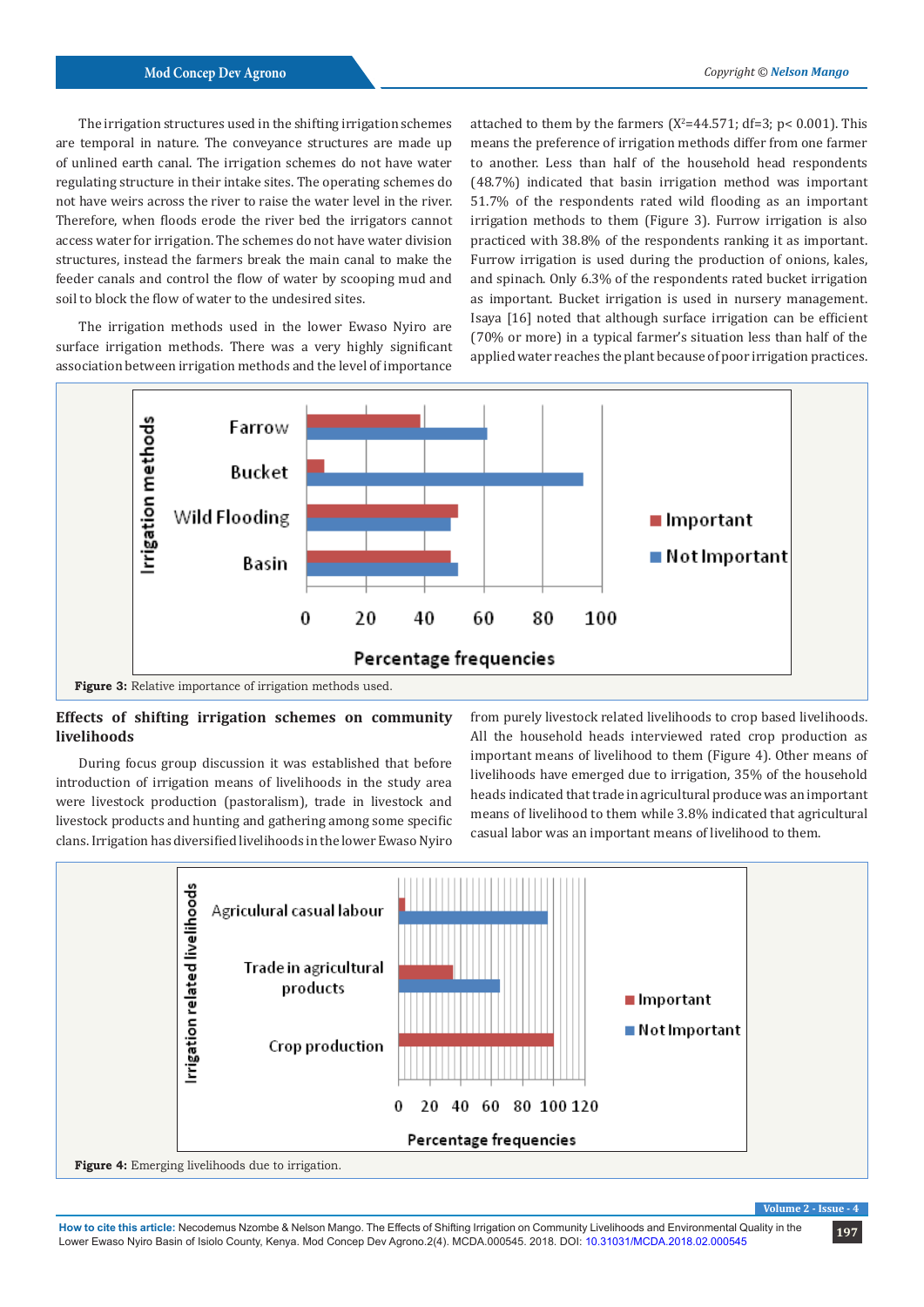The irrigation structures used in the shifting irrigation schemes are temporal in nature. The conveyance structures are made up of unlined earth canal. The irrigation schemes do not have water regulating structure in their intake sites. The operating schemes do not have weirs across the river to raise the water level in the river. Therefore, when floods erode the river bed the irrigators cannot access water for irrigation. The schemes do not have water division structures, instead the farmers break the main canal to make the feeder canals and control the flow of water by scooping mud and soil to block the flow of water to the undesired sites.

The irrigation methods used in the lower Ewaso Nyiro are surface irrigation methods. There was a very highly significant association between irrigation methods and the level of importance

attached to them by the farmers  $(X^2=44.571; df=3; p< 0.001)$ . This means the preference of irrigation methods differ from one farmer to another. Less than half of the household head respondents (48.7%) indicated that basin irrigation method was important 51.7% of the respondents rated wild flooding as an important irrigation methods to them (Figure 3). Furrow irrigation is also practiced with 38.8% of the respondents ranking it as important. Furrow irrigation is used during the production of onions, kales, and spinach. Only 6.3% of the respondents rated bucket irrigation as important. Bucket irrigation is used in nursery management. Isaya [16] noted that although surface irrigation can be efficient (70% or more) in a typical farmer's situation less than half of the applied water reaches the plant because of poor irrigation practices.



# **Effects of shifting irrigation schemes on community livelihoods**

During focus group discussion it was established that before introduction of irrigation means of livelihoods in the study area were livestock production (pastoralism), trade in livestock and livestock products and hunting and gathering among some specific clans. Irrigation has diversified livelihoods in the lower Ewaso Nyiro

from purely livestock related livelihoods to crop based livelihoods. All the household heads interviewed rated crop production as important means of livelihood to them (Figure 4). Other means of livelihoods have emerged due to irrigation, 35% of the household heads indicated that trade in agricultural produce was an important means of livelihood to them while 3.8% indicated that agricultural casual labor was an important means of livelihood to them.



**Volume 2 - Issue - 4**

**197 How to cite this article:** Necodemus Nzombe & Nelson Mango. The Effects of Shifting Irrigation on Community Livelihoods and Environmental Quality in the Lower Ewaso Nyiro Basin of Isiolo County, Kenya. Mod Concep Dev Agrono.2(4). MCDA.000545. 2018. DOI: [10.31031/MCDA.2018.02.000545](http://dx.doi.org/10.31031/MCDA.2018.02.000545
)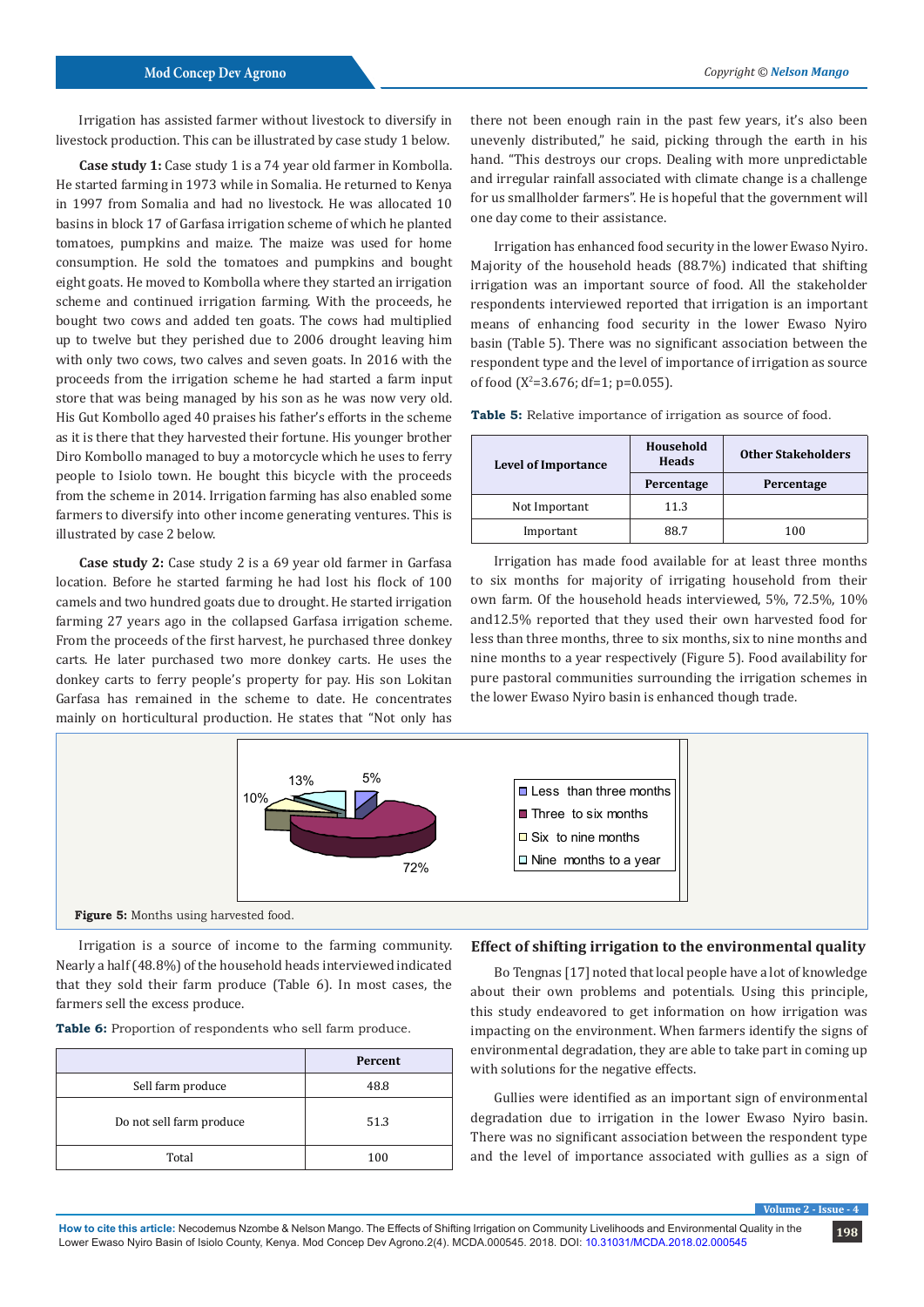Irrigation has assisted farmer without livestock to diversify in livestock production. This can be illustrated by case study 1 below.

**Case study 1:** Case study 1 is a 74 year old farmer in Kombolla. He started farming in 1973 while in Somalia. He returned to Kenya in 1997 from Somalia and had no livestock. He was allocated 10 basins in block 17 of Garfasa irrigation scheme of which he planted tomatoes, pumpkins and maize. The maize was used for home consumption. He sold the tomatoes and pumpkins and bought eight goats. He moved to Kombolla where they started an irrigation scheme and continued irrigation farming. With the proceeds, he bought two cows and added ten goats. The cows had multiplied up to twelve but they perished due to 2006 drought leaving him with only two cows, two calves and seven goats. In 2016 with the proceeds from the irrigation scheme he had started a farm input store that was being managed by his son as he was now very old. His Gut Kombollo aged 40 praises his father's efforts in the scheme as it is there that they harvested their fortune. His younger brother Diro Kombollo managed to buy a motorcycle which he uses to ferry people to Isiolo town. He bought this bicycle with the proceeds from the scheme in 2014. Irrigation farming has also enabled some farmers to diversify into other income generating ventures. This is illustrated by case 2 below.

**Case study 2:** Case study 2 is a 69 year old farmer in Garfasa location. Before he started farming he had lost his flock of 100 camels and two hundred goats due to drought. He started irrigation farming 27 years ago in the collapsed Garfasa irrigation scheme. From the proceeds of the first harvest, he purchased three donkey carts. He later purchased two more donkey carts. He uses the donkey carts to ferry people's property for pay. His son Lokitan Garfasa has remained in the scheme to date. He concentrates mainly on horticultural production. He states that "Not only has

there not been enough rain in the past few years, it's also been unevenly distributed," he said, picking through the earth in his hand. "This destroys our crops. Dealing with more unpredictable and irregular rainfall associated with climate change is a challenge for us smallholder farmers". He is hopeful that the government will one day come to their assistance.

Irrigation has enhanced food security in the lower Ewaso Nyiro. Majority of the household heads (88.7%) indicated that shifting irrigation was an important source of food. All the stakeholder respondents interviewed reported that irrigation is an important means of enhancing food security in the lower Ewaso Nyiro basin (Table 5). There was no significant association between the respondent type and the level of importance of irrigation as source of food ( $X^2$ =3.676; df=1; p=0.055).

**Table 5:** Relative importance of irrigation as source of food.

| <b>Level of Importance</b> | Household<br><b>Heads</b> | <b>Other Stakeholders</b> |
|----------------------------|---------------------------|---------------------------|
|                            | Percentage                | Percentage                |
| Not Important              | 11.3                      |                           |
| Important                  | 88.7                      | 100                       |

Irrigation has made food available for at least three months to six months for majority of irrigating household from their own farm. Of the household heads interviewed, 5%, 72.5%, 10% and12.5% reported that they used their own harvested food for less than three months, three to six months, six to nine months and nine months to a year respectively (Figure 5). Food availability for pure pastoral communities surrounding the irrigation schemes in the lower Ewaso Nyiro basin is enhanced though trade.



Irrigation is a source of income to the farming community. Nearly a half (48.8%) of the household heads interviewed indicated that they sold their farm produce (Table 6). In most cases, the farmers sell the excess produce.

|  |  | Table 6: Proportion of respondents who sell farm produce. |  |  |  |  |  |  |  |
|--|--|-----------------------------------------------------------|--|--|--|--|--|--|--|
|--|--|-----------------------------------------------------------|--|--|--|--|--|--|--|

|                          | Percent |
|--------------------------|---------|
| Sell farm produce        | 48.8    |
| Do not sell farm produce | 51.3    |
| Total                    | 100     |

# **Effect of shifting irrigation to the environmental quality**

Bo Tengnas [17] noted that local people have a lot of knowledge about their own problems and potentials. Using this principle, this study endeavored to get information on how irrigation was impacting on the environment. When farmers identify the signs of environmental degradation, they are able to take part in coming up with solutions for the negative effects.

Gullies were identified as an important sign of environmental degradation due to irrigation in the lower Ewaso Nyiro basin. There was no significant association between the respondent type and the level of importance associated with gullies as a sign of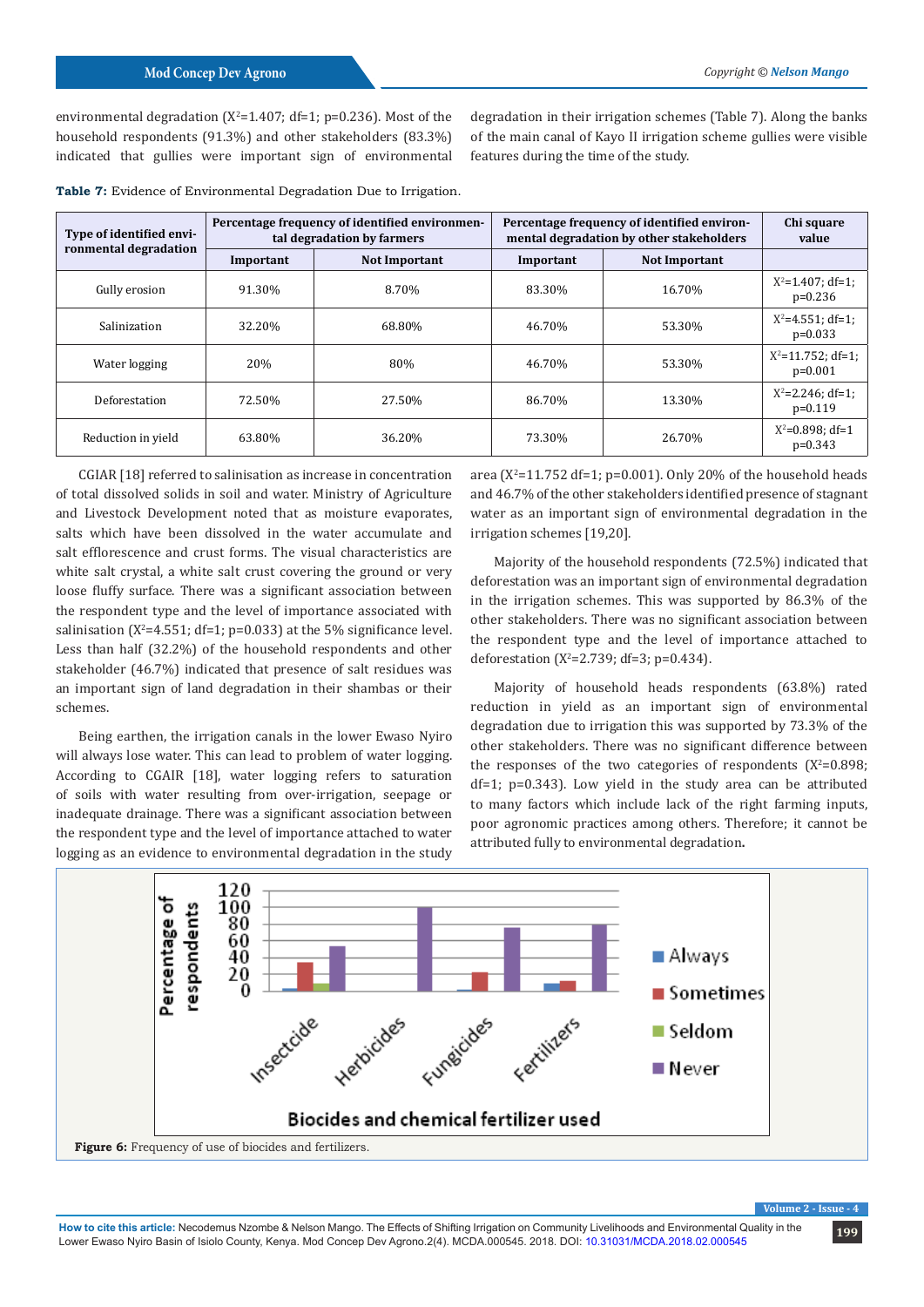environmental degradation ( $X^2$ =1.407; df=1; p=0.236). Most of the household respondents (91.3%) and other stakeholders (83.3%) indicated that gullies were important sign of environmental

degradation in their irrigation schemes (Table 7). Along the banks of the main canal of Kayo II irrigation scheme gullies were visible features during the time of the study.

**Table 7:** Evidence of Environmental Degradation Due to Irrigation.

| Type of identified envi- |           | Percentage frequency of identified environmen-<br>tal degradation by farmers | Percentage frequency of identified environ-<br>mental degradation by other stakeholders | Chi square<br>value |                                     |
|--------------------------|-----------|------------------------------------------------------------------------------|-----------------------------------------------------------------------------------------|---------------------|-------------------------------------|
| ronmental degradation    | Important | <b>Not Important</b><br><b>Not Important</b><br>Important                    |                                                                                         |                     |                                     |
| Gully erosion            | 91.30%    | 8.70%                                                                        | 83.30%                                                                                  | 16.70%              | $X^2 = 1.407$ ; df=1;<br>$p=0.236$  |
| Salinization             | 32.20%    | 68.80%                                                                       | 46.70%                                                                                  | 53.30%              | $X^2 = 4.551$ ; df=1;<br>$p=0.033$  |
| Water logging            | 20%       | 80%                                                                          | 46.70%                                                                                  | 53.30%              | $X^2 = 11.752$ ; df=1;<br>$p=0.001$ |
| Deforestation            | 72.50%    | 27.50%                                                                       | 86.70%                                                                                  | 13.30%              | $X^2 = 2.246$ ; df=1;<br>$p=0.119$  |
| Reduction in vield       | 63.80%    | 36.20%                                                                       | 73.30%                                                                                  | 26.70%              | $X^2 = 0.898$ ; df=1<br>$p=0.343$   |

CGIAR [18] referred to salinisation as increase in concentration of total dissolved solids in soil and water. Ministry of Agriculture and Livestock Development noted that as moisture evaporates, salts which have been dissolved in the water accumulate and salt efflorescence and crust forms. The visual characteristics are white salt crystal, a white salt crust covering the ground or very loose fluffy surface. There was a significant association between the respondent type and the level of importance associated with salinisation ( $X^2$ =4.551; df=1; p=0.033) at the 5% significance level. Less than half (32.2%) of the household respondents and other stakeholder (46.7%) indicated that presence of salt residues was an important sign of land degradation in their shambas or their schemes.

Being earthen, the irrigation canals in the lower Ewaso Nyiro will always lose water. This can lead to problem of water logging. According to CGAIR [18], water logging refers to saturation of soils with water resulting from over-irrigation, seepage or inadequate drainage. There was a significant association between the respondent type and the level of importance attached to water logging as an evidence to environmental degradation in the study

area ( $X^2$ =11.752 df=1; p=0.001). Only 20% of the household heads and 46.7% of the other stakeholders identified presence of stagnant water as an important sign of environmental degradation in the irrigation schemes [19,20].

Majority of the household respondents (72.5%) indicated that deforestation was an important sign of environmental degradation in the irrigation schemes. This was supported by 86.3% of the other stakeholders. There was no significant association between the respondent type and the level of importance attached to deforestation ( $X^2 = 2.739$ ; df=3; p=0.434).

Majority of household heads respondents (63.8%) rated reduction in yield as an important sign of environmental degradation due to irrigation this was supported by 73.3% of the other stakeholders. There was no significant difference between the responses of the two categories of respondents ( $X^2=0.898$ ; df=1; p=0.343). Low yield in the study area can be attributed to many factors which include lack of the right farming inputs, poor agronomic practices among others. Therefore; it cannot be attributed fully to environmental degradation**.**

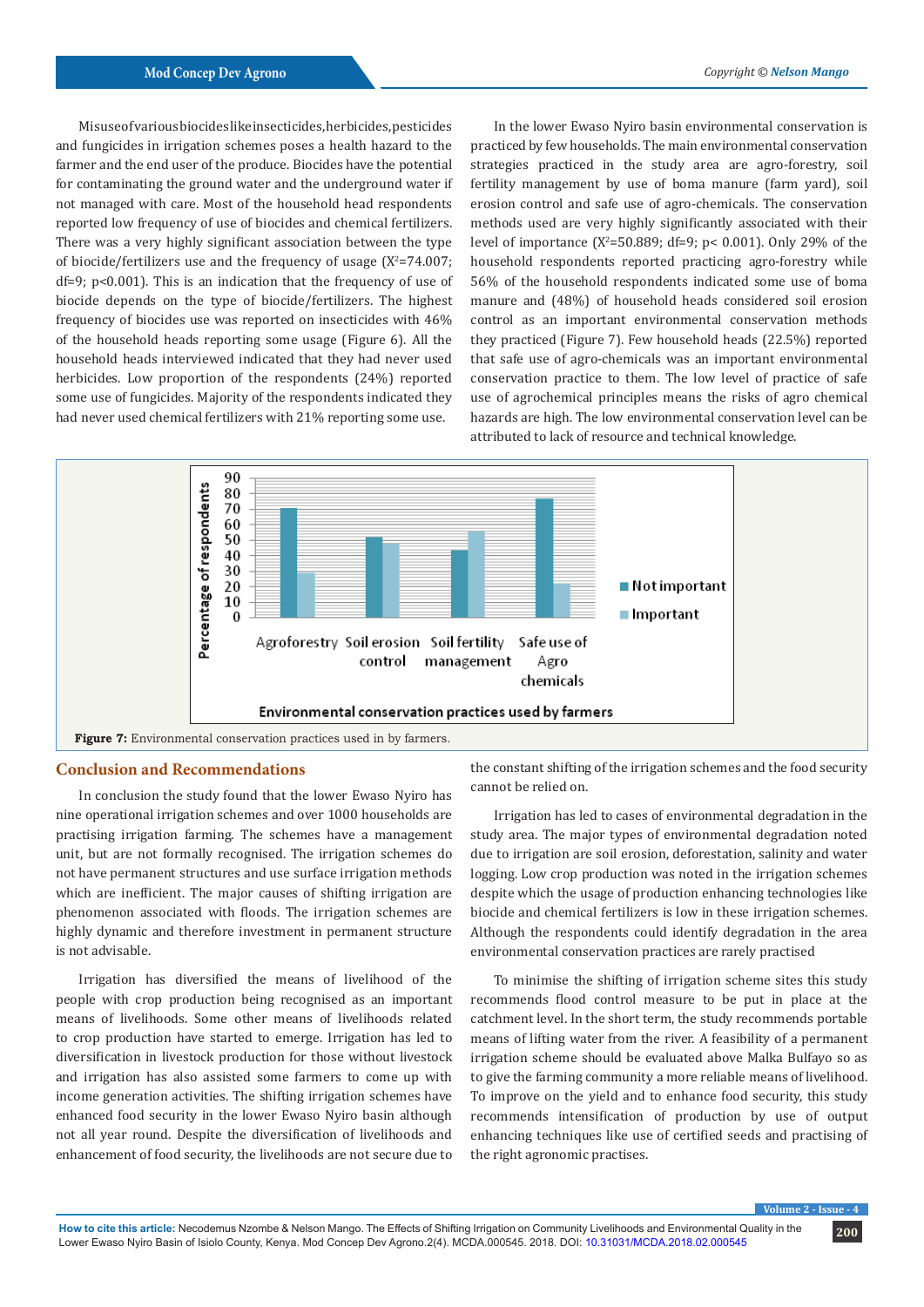Misuse of various biocides like insecticides, herbicides, pesticides and fungicides in irrigation schemes poses a health hazard to the farmer and the end user of the produce. Biocides have the potential for contaminating the ground water and the underground water if not managed with care. Most of the household head respondents reported low frequency of use of biocides and chemical fertilizers. There was a very highly significant association between the type of biocide/fertilizers use and the frequency of usage  $(X^2=74.007;$ df=9; p<0.001). This is an indication that the frequency of use of biocide depends on the type of biocide/fertilizers. The highest frequency of biocides use was reported on insecticides with 46% of the household heads reporting some usage (Figure 6). All the household heads interviewed indicated that they had never used herbicides. Low proportion of the respondents (24%) reported some use of fungicides. Majority of the respondents indicated they had never used chemical fertilizers with 21% reporting some use.

In the lower Ewaso Nyiro basin environmental conservation is practiced by few households. The main environmental conservation strategies practiced in the study area are agro-forestry, soil fertility management by use of boma manure (farm yard), soil erosion control and safe use of agro-chemicals. The conservation methods used are very highly significantly associated with their level of importance ( $X^2$ =50.889; df=9; p< 0.001). Only 29% of the household respondents reported practicing agro-forestry while 56% of the household respondents indicated some use of boma manure and (48%) of household heads considered soil erosion control as an important environmental conservation methods they practiced (Figure 7). Few household heads (22.5%) reported that safe use of agro-chemicals was an important environmental conservation practice to them. The low level of practice of safe use of agrochemical principles means the risks of agro chemical hazards are high. The low environmental conservation level can be attributed to lack of resource and technical knowledge.



# **Conclusion and Recommendations**

In conclusion the study found that the lower Ewaso Nyiro has nine operational irrigation schemes and over 1000 households are practising irrigation farming. The schemes have a management unit, but are not formally recognised. The irrigation schemes do not have permanent structures and use surface irrigation methods which are inefficient. The major causes of shifting irrigation are phenomenon associated with floods. The irrigation schemes are highly dynamic and therefore investment in permanent structure is not advisable.

Irrigation has diversified the means of livelihood of the people with crop production being recognised as an important means of livelihoods. Some other means of livelihoods related to crop production have started to emerge. Irrigation has led to diversification in livestock production for those without livestock and irrigation has also assisted some farmers to come up with income generation activities. The shifting irrigation schemes have enhanced food security in the lower Ewaso Nyiro basin although not all year round. Despite the diversification of livelihoods and enhancement of food security, the livelihoods are not secure due to

the constant shifting of the irrigation schemes and the food security cannot be relied on.

Irrigation has led to cases of environmental degradation in the study area. The major types of environmental degradation noted due to irrigation are soil erosion, deforestation, salinity and water logging. Low crop production was noted in the irrigation schemes despite which the usage of production enhancing technologies like biocide and chemical fertilizers is low in these irrigation schemes. Although the respondents could identify degradation in the area environmental conservation practices are rarely practised

To minimise the shifting of irrigation scheme sites this study recommends flood control measure to be put in place at the catchment level. In the short term, the study recommends portable means of lifting water from the river. A feasibility of a permanent irrigation scheme should be evaluated above Malka Bulfayo so as to give the farming community a more reliable means of livelihood. To improve on the yield and to enhance food security, this study recommends intensification of production by use of output enhancing techniques like use of certified seeds and practising of the right agronomic practises.